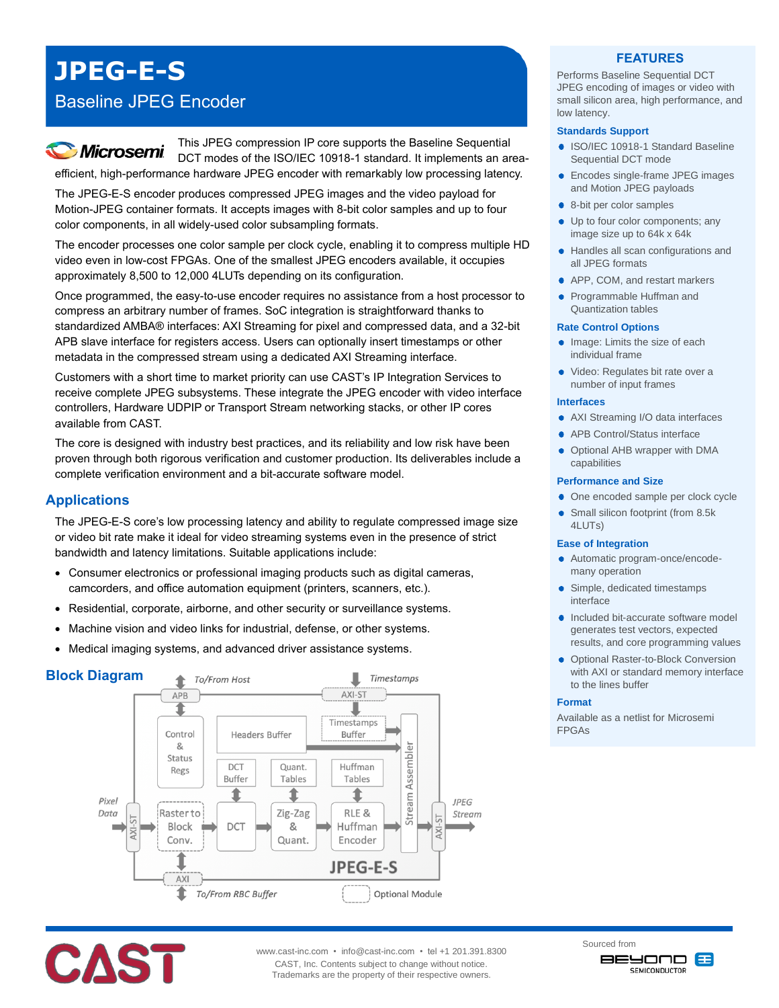# **JPEG-E-S**

# Baseline JPEG Encoder

# **Microsemi**

This JPEG compression IP core supports the Baseline Sequential DCT modes of the ISO/IEC 10918-1 standard. It implements an areaefficient, high-performance hardware JPEG encoder with remarkably low processing latency.

The JPEG-E-S encoder produces compressed JPEG images and the video payload for Motion-JPEG container formats. It accepts images with 8-bit color samples and up to four color components, in all widely-used color subsampling formats.

The encoder processes one color sample per clock cycle, enabling it to compress multiple HD video even in low-cost FPGAs. One of the smallest JPEG encoders available, it occupies approximately 8,500 to 12,000 4LUTs depending on its configuration.

Once programmed, the easy-to-use encoder requires no assistance from a host processor to compress an arbitrary number of frames. SoC integration is straightforward thanks to standardized AMBA® interfaces: AXI Streaming for pixel and compressed data, and a 32-bit APB slave interface for registers access. Users can optionally insert timestamps or other metadata in the compressed stream using a dedicated AXI Streaming interface.

Customers with a short time to market priority can use CAST's IP Integration Services to receive complete JPEG subsystems. These integrate the JPEG encoder with video interface controllers, Hardware UDPIP or Transport Stream networking stacks, or other IP cores available from CAST.

The core is designed with industry best practices, and its reliability and low risk have been proven through both rigorous verification and customer production. Its deliverables include a complete verification environment and a bit-accurate software model.

# **Applications**

The JPEG-E-S core's low processing latency and ability to regulate compressed image size or video bit rate make it ideal for video streaming systems even in the presence of strict bandwidth and latency limitations. Suitable applications include:

- Consumer electronics or professional imaging products such as digital cameras, camcorders, and office automation equipment (printers, scanners, etc.).
- Residential, corporate, airborne, and other security or surveillance systems.
- Machine vision and video links for industrial, defense, or other systems.
- Medical imaging systems, and advanced driver assistance systems.



## **FEATURES**

Performs Baseline Sequential DCT JPEG encoding of images or video with small silicon area, high performance, and low latency.

#### **Standards Support**

- **ISO/IEC 10918-1 Standard Baseline** Sequential DCT mode
- **Encodes single-frame JPEG images** and Motion JPEG payloads
- 8-bit per color samples
- ٠ Up to four color components; any image size up to 64k x 64k
- Handles all scan configurations and all JPEG formats
- APP, COM, and restart markers
- Programmable Huffman and Quantization tables

#### **Rate Control Options**

- Image: Limits the size of each individual frame
- Video: Regulates bit rate over a number of input frames

#### **Interfaces**

- AXI Streaming I/O data interfaces
- APB Control/Status interface
- Optional AHB wrapper with DMA capabilities

#### **Performance and Size**

- One encoded sample per clock cycle
- Small silicon footprint (from 8.5k 4LUTs)

#### **Ease of Integration**

- Automatic program-once/encodemany operation
- Simple, dedicated timestamps interface
- Included bit-accurate software model generates test vectors, expected results, and core programming values
- **Optional Raster-to-Block Conversion** with AXI or standard memory interface to the lines buffer

#### **Format**

Available as a netlist for Microsemi FPGAs



æ